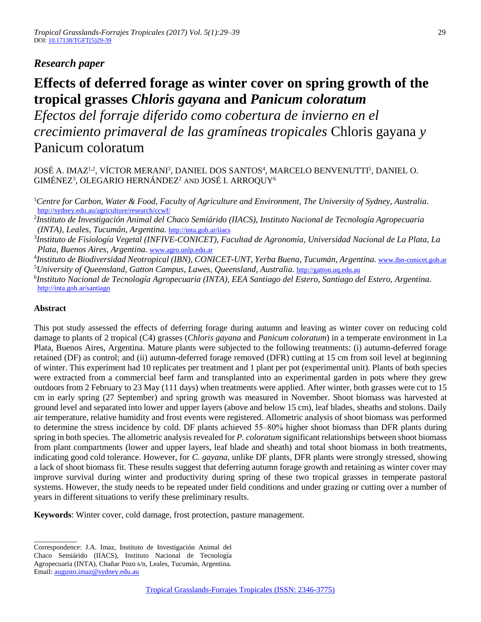## *Research paper*

# **Effects of deferred forage as winter cover on spring growth of the tropical grasses** *Chloris gayana* **and** *Panicum coloratum*

*Efectos del forraje diferido como cobertura de invierno en el crecimiento primaveral de las gramíneas tropicales* Chloris gayana *y* Panicum coloratum

JOSÉ A. IMAZ<sup>1,2</sup>, VÍCTOR MERANI<sup>3</sup>, DANIEL DOS SANTOS<sup>4</sup>, MARCELO BENVENUTTI<sup>5</sup>, DANIEL O. GIMÉNEZ $^3$ , OLEGARIO HERNÁNDEZ $^2$  and JOSÉ I. ARROQUY $^6$ 

<sup>1</sup>*Centre for Carbon, Water & Food, Faculty of Agriculture and Environment, The University of Sydney, Australia.*  <http://sydney.edu.au/agriculture/research/ccwf/>

2 *Instituto de Investigación Animal del Chaco Semiárido (IIACS), Instituto Nacional de Tecnología Agropecuaria (INTA), Leales, Tucumán, Argentina.* <http://inta.gob.ar/iiacs>

3 *Instituto de Fisiología Vegetal (INFIVE-CONICET), Facultad de Agronomía, Universidad Nacional de La Plata, La Plata, Buenos Aires, Argentina.* [www.agro.unlp.edu.ar](http://www.agro.unlp.edu.ar/)

<sup>4</sup>Instituto de Biodiversidad Neotropical (IBN), CONICET-UNT, Yerba Buena, Tucumán, Argentina. <u>[www.ibn-conicet.gob.ar](http://www.ibn-conicet.gob.ar/)</u> <sup>5</sup>*University of Queensland, Gatton Campus, Lawes, Queensland, Australia.* [http://gatton.uq.edu.au](http://gatton.uq.edu.au/)

6 *Instituto Nacional de Tecnología Agropecuaria (INTA), EEA Santiago del Estero, Santiago del Estero, Argentina.*  <http://inta.gob.ar/santiago>

### **Abstract**

This pot study assessed the effects of deferring forage during autumn and leaving as winter cover on reducing cold damage to plants of 2 tropical (C4) grasses (*Chloris gayana* and *Panicum coloratum*) in a temperate environment in La Plata, Buenos Aires, Argentina. Mature plants were subjected to the following treatments: (i) autumn-deferred forage retained (DF) as control; and (ii) autumn-deferred forage removed (DFR) cutting at 15 cm from soil level at beginning of winter. This experiment had 10 replicates per treatment and 1 plant per pot (experimental unit). Plants of both species were extracted from a commercial beef farm and transplanted into an experimental garden in pots where they grew outdoors from 2 February to 23 May (111 days) when treatments were applied. After winter, both grasses were cut to 15 cm in early spring (27 September) and spring growth was measured in November. Shoot biomass was harvested at ground level and separated into lower and upper layers (above and below 15 cm), leaf blades, sheaths and stolons. Daily air temperature, relative humidity and frost events were registered. Allometric analysis of shoot biomass was performed to determine the stress incidence by cold. DF plants achieved 55–80% higher shoot biomass than DFR plants during spring in both species. The allometric analysis revealed for *P. coloratum* significant relationships between shoot biomass from plant compartments (lower and upper layers, leaf blade and sheath) and total shoot biomass in both treatments, indicating good cold tolerance. However, for *C. gayana,* unlike DF plants, DFR plants were strongly stressed, showing a lack of shoot biomass fit. These results suggest that deferring autumn forage growth and retaining as winter cover may improve survival during winter and productivity during spring of these two tropical grasses in temperate pastoral systems. However, the study needs to be repeated under field conditions and under grazing or cutting over a number of years in different situations to verify these preliminary results.

**Keywords**: Winter cover, cold damage, frost protection, pasture management.

\_\_\_\_\_\_\_\_\_\_\_

Correspondence: J.A. Imaz, Instituto de Investigación Animal del

Chaco Semiárido (IIACS), Instituto Nacional de Tecnología

Agropecuaria (INTA), Chañar Pozo s/n, Leales, Tucumán, Argentina.

Email[: augusto.imaz@sydney.edu.au](mailto:augusto.imaz@sydney.edu.au)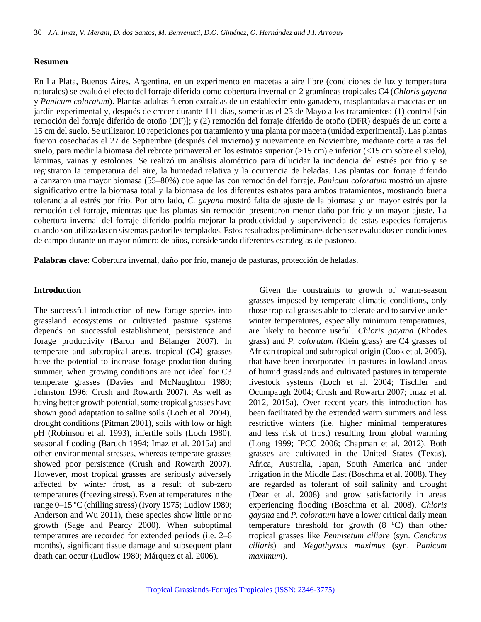#### **Resumen**

En La Plata, Buenos Aires, Argentina, en un experimento en macetas a aire libre (condiciones de luz y temperatura naturales) se evaluó el efecto del forraje diferido como cobertura invernal en 2 gramíneas tropicales C4 (*Chloris gayana* y *Panicum coloratum*). Plantas adultas fueron extraídas de un establecimiento ganadero, trasplantadas a macetas en un jardín experimental y, después de crecer durante 111 días, sometidas el 23 de Mayo a los tratamientos: (1) control [sin remoción del forraje diferido de otoño (DF)]; y (2) remoción del forraje diferido de otoño (DFR) después de un corte a 15 cm del suelo. Se utilizaron 10 repeticiones por tratamiento y una planta por maceta (unidad experimental). Las plantas fueron cosechadas el 27 de Septiembre (después del invierno) y nuevamente en Noviembre, mediante corte a ras del suelo, para medir la biomasa del rebrote primaveral en los estratos superior (>15 cm) e inferior (<15 cm sobre el suelo), láminas, vainas y estolones. Se realizó un análisis alométrico para dilucidar la incidencia del estrés por frio y se registraron la temperatura del aire, la humedad relativa y la ocurrencia de heladas. Las plantas con forraje diferido alcanzaron una mayor biomasa (55‒80%) que aquellas con remoción del forraje. *Panicum coloratum* mostró un ajuste significativo entre la biomasa total y la biomasa de los diferentes estratos para ambos tratamientos, mostrando buena tolerancia al estrés por frio. Por otro lado, *C. gayana* mostró falta de ajuste de la biomasa y un mayor estrés por la remoción del forraje, mientras que las plantas sin remoción presentaron menor daño por frío y un mayor ajuste. La cobertura invernal del forraje diferido podría mejorar la productividad y supervivencia de estas especies forrajeras cuando son utilizadas en sistemas pastoriles templados. Estos resultados preliminares deben ser evaluados en condiciones de campo durante un mayor número de años, considerando diferentes estrategias de pastoreo.

**Palabras clave**: Cobertura invernal, daño por frío, manejo de pasturas, protección de heladas.

#### **Introduction**

The successful introduction of new forage species into grassland ecosystems or cultivated pasture systems depends on successful establishment, persistence and forage productivity (Baron and Bélanger 2007). In temperate and subtropical areas, tropical (C4) grasses have the potential to increase forage production during summer, when growing conditions are not ideal for C3 temperate grasses (Davies and McNaughton 1980; Johnston 1996; Crush and Rowarth 2007). As well as having better growth potential, some tropical grasses have shown good adaptation to saline soils (Loch et al. 2004), drought conditions (Pitman 2001), soils with low or high pH (Robinson et al. 1993), infertile soils (Loch 1980), seasonal flooding (Baruch 1994; Imaz et al. 2015a) and other environmental stresses, whereas temperate grasses showed poor persistence (Crush and Rowarth 2007). However, most tropical grasses are seriously adversely affected by winter frost, as a result of sub-zero temperatures (freezing stress). Even at temperatures in the range 0–15 °C (chilling stress) (Ivory 1975; Ludlow 1980; Anderson and Wu 2011), these species show little or no growth (Sage and Pearcy 2000). When suboptimal temperatures are recorded for extended periods (i.e. 2–6 months), significant tissue damage and subsequent plant death can occur (Ludlow 1980; Márquez et al. 2006).

Given the constraints to growth of warm-season grasses imposed by temperate climatic conditions, only those tropical grasses able to tolerate and to survive under winter temperatures, especially minimum temperatures, are likely to become useful. *Chloris gayana* (Rhodes grass) and *P. coloratum* (Klein grass) are C4 grasses of African tropical and subtropical origin (Cook et al. 2005), that have been incorporated in pastures in lowland areas of humid grasslands and cultivated pastures in temperate livestock systems (Loch et al. 2004; Tischler and Ocumpaugh 2004; Crush and Rowarth 2007; Imaz et al. 2012, 2015a). Over recent years this introduction has been facilitated by the extended warm summers and less restrictive winters (i.e. higher minimal temperatures and less risk of frost) resulting from global warming (Long 1999; IPCC 2006; Chapman et al. 2012). Both grasses are cultivated in the United States (Texas), Africa, Australia, Japan, South America and under irrigation in the Middle East (Boschma et al. 2008). They are regarded as tolerant of soil salinity and drought (Dear et al. 2008) and grow satisfactorily in areas experiencing flooding (Boschma et al. 2008). *Chloris gayana* and *P. coloratum* have a lower critical daily mean temperature threshold for growth (8 ºC) than other tropical grasses like *Pennisetum ciliare* (syn. *Cenchrus ciliaris*) and *Megathyrsus maximus* (syn. *Panicum maximum*).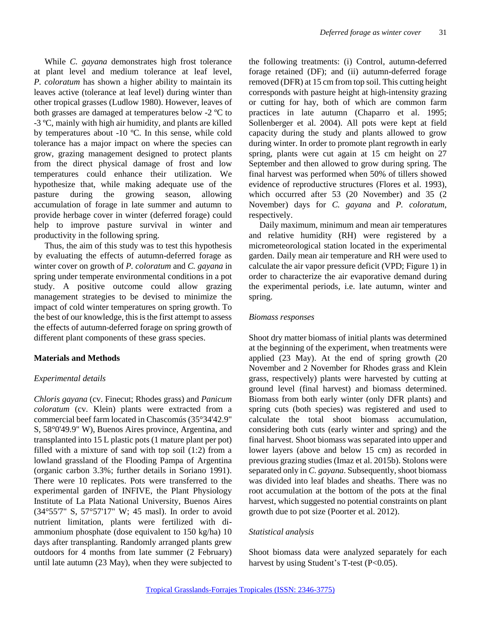While *C. gayana* demonstrates high frost tolerance at plant level and medium tolerance at leaf level, *P. coloratum* has shown a higher ability to maintain its leaves active (tolerance at leaf level) during winter than other tropical grasses (Ludlow 1980). However, leaves of both grasses are damaged at temperatures below -2 ºC to -3 ºC, mainly with high air humidity, and plants are killed by temperatures about -10 ºC. In this sense, while cold tolerance has a major impact on where the species can grow, grazing management designed to protect plants from the direct physical damage of frost and low temperatures could enhance their utilization. We hypothesize that, while making adequate use of the pasture during the growing season, allowing accumulation of forage in late summer and autumn to provide herbage cover in winter (deferred forage) could help to improve pasture survival in winter and productivity in the following spring.

Thus, the aim of this study was to test this hypothesis by evaluating the effects of autumn-deferred forage as winter cover on growth of *P. coloratum* and *C. gayana* in spring under temperate environmental conditions in a pot study. A positive outcome could allow grazing management strategies to be devised to minimize the impact of cold winter temperatures on spring growth. To the best of our knowledge, this is the first attempt to assess the effects of autumn-deferred forage on spring growth of different plant components of these grass species.

#### **Materials and Methods**

#### *Experimental details*

*Chloris gayana* (cv. Finecut; Rhodes grass) and *Panicum coloratum* (cv. Klein) plants were extracted from a commercial beef farm located in Chascomús (35°34'42.9" S, 58°0'49.9" W), Buenos Aires province, Argentina, and transplanted into 15 L plastic pots (1 mature plant per pot) filled with a mixture of sand with top soil (1:2) from a lowland grassland of the Flooding Pampa of Argentina (organic carbon 3.3%; further details in Soriano 1991). There were 10 replicates. Pots were transferred to the experimental garden of INFIVE, the Plant Physiology Institute of La Plata National University, Buenos Aires (34°55'7" S, 57°57'17" W; 45 masl). In order to avoid nutrient limitation, plants were fertilized with diammonium phosphate (dose equivalent to 150 kg/ha) 10 days after transplanting. Randomly arranged plants grew outdoors for 4 months from late summer (2 February) until late autumn (23 May), when they were subjected to

the following treatments: (i) Control, autumn-deferred forage retained (DF); and (ii) autumn-deferred forage removed (DFR) at 15 cm from top soil. This cutting height corresponds with pasture height at high-intensity grazing or cutting for hay, both of which are common farm practices in late autumn (Chaparro et al. 1995; Sollenberger et al. 2004). All pots were kept at field capacity during the study and plants allowed to grow during winter. In order to promote plant regrowth in early spring, plants were cut again at 15 cm height on 27 September and then allowed to grow during spring. The final harvest was performed when 50% of tillers showed evidence of reproductive structures (Flores et al. 1993), which occurred after 53 (20 November) and 35 (2 November) days for *C. gayana* and *P. coloratum*, respectively.

Daily maximum, minimum and mean air temperatures and relative humidity (RH) were registered by a micrometeorological station located in the experimental garden. Daily mean air temperature and RH were used to calculate the air vapor pressure deficit (VPD; Figure 1) in order to characterize the air evaporative demand during the experimental periods, i.e. late autumn, winter and spring.

#### *Biomass responses*

Shoot dry matter biomass of initial plants was determined at the beginning of the experiment, when treatments were applied (23 May). At the end of spring growth (20 November and 2 November for Rhodes grass and Klein grass, respectively) plants were harvested by cutting at ground level (final harvest) and biomass determined. Biomass from both early winter (only DFR plants) and spring cuts (both species) was registered and used to calculate the total shoot biomass accumulation, considering both cuts (early winter and spring) and the final harvest. Shoot biomass was separated into upper and lower layers (above and below 15 cm) as recorded in previous grazing studies (Imaz et al. 2015b). Stolons were separated only in *C. gayana*. Subsequently, shoot biomass was divided into leaf blades and sheaths. There was no root accumulation at the bottom of the pots at the final harvest, which suggested no potential constraints on plant growth due to pot size (Poorter et al. 2012).

#### *Statistical analysis*

Shoot biomass data were analyzed separately for each harvest by using Student's T-test  $(P<0.05)$ .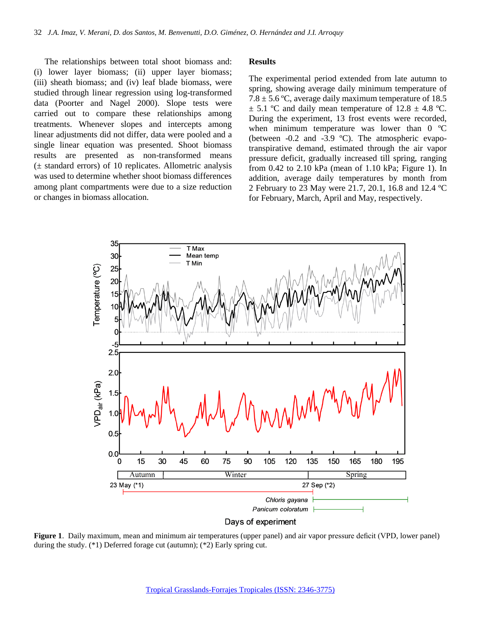The relationships between total shoot biomass and: (i) lower layer biomass; (ii) upper layer biomass; (iii) sheath biomass; and (iv) leaf blade biomass, were studied through linear regression using log-transformed data (Poorter and Nagel 2000). Slope tests were carried out to compare these relationships among treatments. Whenever slopes and intercepts among linear adjustments did not differ, data were pooled and a single linear equation was presented. Shoot biomass results are presented as non-transformed means  $(\pm$  standard errors) of 10 replicates. Allometric analysis was used to determine whether shoot biomass differences among plant compartments were due to a size reduction or changes in biomass allocation.

#### **Results**

The experimental period extended from late autumn to spring, showing average daily minimum temperature of  $7.8 \pm 5.6$  °C, average daily maximum temperature of 18.5  $\pm$  5.1 °C and daily mean temperature of 12.8  $\pm$  4.8 °C. During the experiment, 13 frost events were recorded, when minimum temperature was lower than 0 °C (between -0.2 and -3.9 ºC). The atmospheric evapotranspirative demand, estimated through the air vapor pressure deficit, gradually increased till spring, ranging from 0.42 to 2.10 kPa (mean of 1.10 kPa; Figure 1). In addition, average daily temperatures by month from 2 February to 23 May were 21.7, 20.1, 16.8 and 12.4 ºC for February, March, April and May, respectively.



**Figure 1**. Daily maximum, mean and minimum air temperatures (upper panel) and air vapor pressure deficit (VPD, lower panel) during the study. (\*1) Deferred forage cut (autumn); (\*2) Early spring cut.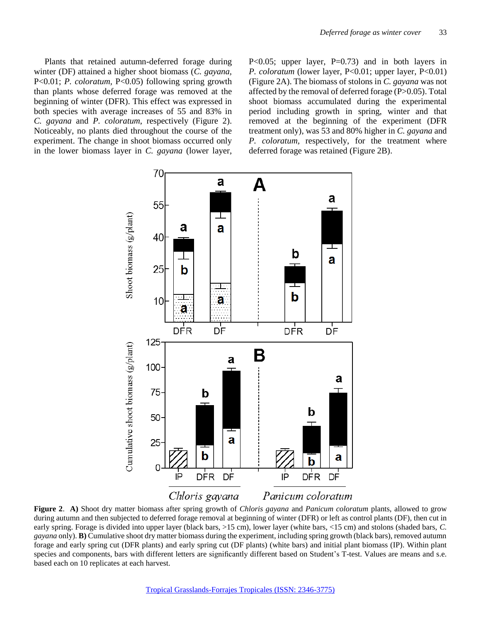Plants that retained autumn-deferred forage during winter (DF) attained a higher shoot biomass (*C. gayana,* P<0.01; *P. coloratum,* P<0.05) following spring growth than plants whose deferred forage was removed at the beginning of winter (DFR). This effect was expressed in both species with average increases of 55 and 83% in *C. gayana* and *P. coloratum*, respectively (Figure 2). Noticeably, no plants died throughout the course of the experiment. The change in shoot biomass occurred only in the lower biomass layer in *C. gayana* (lower layer, P<0.05; upper layer, P=0.73) and in both layers in *P. coloratum* (lower layer, P<0.01; upper layer, P<0.01) (Figure 2A). The biomass of stolons in *C. gayana* was not affected by the removal of deferred forage (P>0.05). Total shoot biomass accumulated during the experimental period including growth in spring, winter and that removed at the beginning of the experiment (DFR treatment only), was 53 and 80% higher in *C. gayana* and *P. coloratum,* respectively, for the treatment where deferred forage was retained (Figure 2B).



**Figure 2**. **A)** Shoot dry matter biomass after spring growth of *Chloris gayana* and *Panicum coloratum* plants, allowed to grow during autumn and then subjected to deferred forage removal at beginning of winter (DFR) or left as control plants (DF), then cut in early spring. Forage is divided into upper layer (black bars, >15 cm), lower layer (white bars, <15 cm) and stolons (shaded bars, *C. gayana* only). **B)** Cumulative shoot dry matter biomass during the experiment, including spring growth (black bars), removed autumn forage and early spring cut (DFR plants) and early spring cut (DF plants) (white bars) and initial plant biomass (IP). Within plant species and components, bars with different letters are significantly different based on Student's T-test. Values are means and s.e. based each on 10 replicates at each harvest.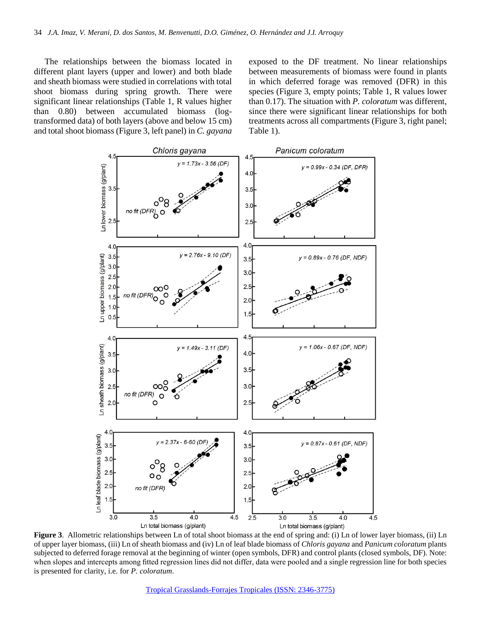The relationships between the biomass located in different plant layers (upper and lower) and both blade and sheath biomass were studied in correlations with total shoot biomass during spring growth. There were significant linear relationships (Table 1, R values higher than 0.80) between accumulated biomass (logtransformed data) of both layers (above and below 15 cm) and total shoot biomass (Figure 3, left panel) in *C. gayana*

exposed to the DF treatment. No linear relationships between measurements of biomass were found in plants in which deferred forage was removed (DFR) in this species (Figure 3, empty points; Table 1, R values lower than 0.17). The situation with *P. coloratum* was different, since there were significant linear relationships for both treatments across all compartments (Figure 3, right panel; Table 1).



**Figure 3**. Allometric relationships between Ln of total shoot biomass at the end of spring and: (i) Ln of lower layer biomass, (ii) Ln of upper layer biomass, (iii) Ln of sheath biomass and (iv) Ln of leaf blade biomass of *Chloris gayana* and *Panicum coloratum* plants subjected to deferred forage removal at the beginning of winter (open symbols, DFR) and control plants (closed symbols, DF). Note: when slopes and intercepts among fitted regression lines did not differ, data were pooled and a single regression line for both species is presented for clarity, i.e. for *P. coloratum*.

[Tropical Grasslands-Forrajes Tropicales \(ISSN: 2346-3775\)](http://www.tropicalgrasslands.info/)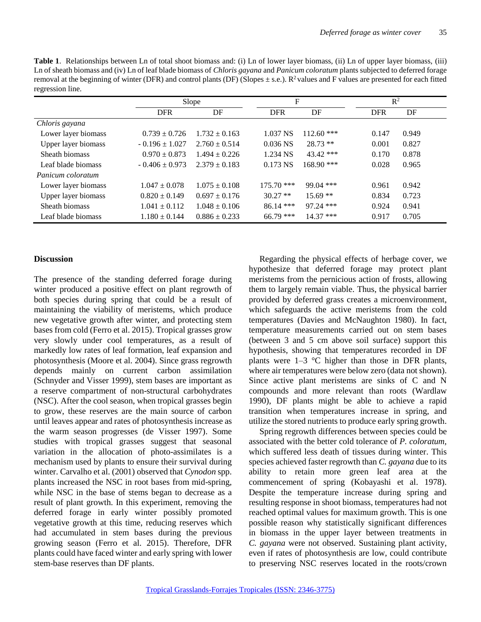| Table 1. Relationships between Ln of total shoot biomass and: (i) Ln of lower layer biomass, (ii) Ln of upper layer biomass, (iii)               |
|--------------------------------------------------------------------------------------------------------------------------------------------------|
| Ln of sheath biomass and (iv) Ln of leaf blade biomass of <i>Chloris gayana</i> and <i>Panicum coloratum</i> plants subjected to deferred forage |
| removal at the beginning of winter (DFR) and control plants (DF) (Slopes $\pm$ s.e.). $R^2$ values and F values are presented for each fitted    |
| regression line.                                                                                                                                 |

|                     | Slope              |                   | F            |              |            | $R^2$ |  |
|---------------------|--------------------|-------------------|--------------|--------------|------------|-------|--|
|                     | <b>DFR</b>         | DF                | <b>DFR</b>   | DF           | <b>DFR</b> | DF    |  |
| Chloris gayana      |                    |                   |              |              |            |       |  |
| Lower layer biomass | $0.739 \pm 0.726$  | $1.732 \pm 0.163$ | 1.037 NS     | $112.60$ *** | 0.147      | 0.949 |  |
| Upper layer biomass | $-0.196 \pm 1.027$ | $2.760 \pm 0.514$ | $0.036$ NS   | $28.73$ **   | 0.001      | 0.827 |  |
| Sheath biomass      | $0.970 \pm 0.873$  | $1.494 \pm 0.226$ | 1.234 NS     | 43.42 ***    | 0.170      | 0.878 |  |
| Leaf blade biomass  | $-0.406 \pm 0.973$ | $2.379 \pm 0.183$ | 0.173 NS     | $168.90$ *** | 0.028      | 0.965 |  |
| Panicum coloratum   |                    |                   |              |              |            |       |  |
| Lower layer biomass | $1.047 \pm 0.078$  | $1.075 \pm 0.108$ | $175.70$ *** | $99.04$ ***  | 0.961      | 0.942 |  |
| Upper layer biomass | $0.820 \pm 0.149$  | $0.697 \pm 0.176$ | $30.27$ **   | $15.69**$    | 0.834      | 0.723 |  |
| Sheath biomass      | $1.041 \pm 0.112$  | $1.048 \pm 0.106$ | $86.14$ ***  | 97.24 ***    | 0.924      | 0.941 |  |
| Leaf blade biomass  | $1.180 \pm 0.144$  | $0.886 \pm 0.233$ | $66.79$ ***  | $14.37$ ***  | 0.917      | 0.705 |  |

#### **Discussion**

The presence of the standing deferred forage during winter produced a positive effect on plant regrowth of both species during spring that could be a result of maintaining the viability of meristems, which produce new vegetative growth after winter, and protecting stem bases from cold (Ferro et al. 2015). Tropical grasses grow very slowly under cool temperatures, as a result of markedly low rates of leaf formation, leaf expansion and photosynthesis (Moore et al. 2004). Since grass regrowth depends mainly on current carbon assimilation (Schnyder and Visser 1999), stem bases are important as a reserve compartment of non-structural carbohydrates (NSC). After the cool season, when tropical grasses begin to grow, these reserves are the main source of carbon until leaves appear and rates of photosynthesis increase as the warm season progresses (de Visser 1997). Some studies with tropical grasses suggest that seasonal variation in the allocation of photo-assimilates is a mechanism used by plants to ensure their survival during winter. Carvalho et al. (2001) observed that *Cynodon* spp. plants increased the NSC in root bases from mid-spring, while NSC in the base of stems began to decrease as a result of plant growth. In this experiment, removing the deferred forage in early winter possibly promoted vegetative growth at this time, reducing reserves which had accumulated in stem bases during the previous growing season (Ferro et al. 2015). Therefore, DFR plants could have faced winter and early spring with lower stem-base reserves than DF plants.

Regarding the physical effects of herbage cover, we hypothesize that deferred forage may protect plant meristems from the pernicious action of frosts, allowing them to largely remain viable. Thus, the physical barrier provided by deferred grass creates a microenvironment, which safeguards the active meristems from the cold temperatures (Davies and McNaughton 1980). In fact, temperature measurements carried out on stem bases (between 3 and 5 cm above soil surface) support this hypothesis, showing that temperatures recorded in DF plants were  $1-3$  °C higher than those in DFR plants, where air temperatures were below zero (data not shown). Since active plant meristems are sinks of C and N compounds and more relevant than roots (Wardlaw 1990), DF plants might be able to achieve a rapid transition when temperatures increase in spring, and utilize the stored nutrients to produce early spring growth.

Spring regrowth differences between species could be associated with the better cold tolerance of *P. coloratum,* which suffered less death of tissues during winter. This species achieved faster regrowth than *C. gayana* due to its ability to retain more green leaf area at the commencement of spring (Kobayashi et al. 1978). Despite the temperature increase during spring and resulting response in shoot biomass, temperatures had not reached optimal values for maximum growth. This is one possible reason why statistically significant differences in biomass in the upper layer between treatments in *C. gayana* were not observed. Sustaining plant activity, even if rates of photosynthesis are low, could contribute to preserving NSC reserves located in the roots/crown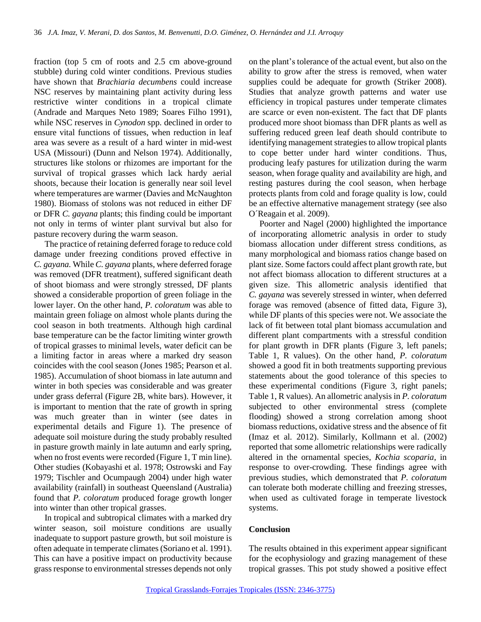fraction (top 5 cm of roots and 2.5 cm above-ground stubble) during cold winter conditions. Previous studies have shown that *Brachiaria decumbens* could increase NSC reserves by maintaining plant activity during less restrictive winter conditions in a tropical climate (Andrade and Marques Neto 1989; Soares Filho 1991), while NSC reserves in *Cynodon* spp. declined in order to ensure vital functions of tissues, when reduction in leaf area was severe as a result of a hard winter in mid-west USA (Missouri) (Dunn and Nelson 1974). Additionally, structures like stolons or rhizomes are important for the survival of tropical grasses which lack hardy aerial shoots, because their location is generally near soil level where temperatures are warmer (Davies and McNaughton 1980). Biomass of stolons was not reduced in either DF or DFR *C. gayana* plants; this finding could be important not only in terms of winter plant survival but also for pasture recovery during the warm season.

The practice of retaining deferred forage to reduce cold damage under freezing conditions proved effective in *C. gayana.* While *C. gayana* plants, where deferred forage was removed (DFR treatment), suffered significant death of shoot biomass and were strongly stressed, DF plants showed a considerable proportion of green foliage in the lower layer. On the other hand, *P. coloratum* was able to maintain green foliage on almost whole plants during the cool season in both treatments. Although high cardinal base temperature can be the factor limiting winter growth of tropical grasses to minimal levels, water deficit can be a limiting factor in areas where a marked dry season coincides with the cool season (Jones 1985; Pearson et al. 1985). Accumulation of shoot biomass in late autumn and winter in both species was considerable and was greater under grass deferral (Figure 2B, white bars). However, it is important to mention that the rate of growth in spring was much greater than in winter (see dates in experimental details and Figure 1). The presence of adequate soil moisture during the study probably resulted in pasture growth mainly in late autumn and early spring, when no frost events were recorded (Figure 1, T min line). Other studies (Kobayashi et al. 1978; Ostrowski and Fay 1979; Tischler and Ocumpaugh 2004) under high water availability (rainfall) in southeast Queensland (Australia) found that *P. coloratum* produced forage growth longer into winter than other tropical grasses.

In tropical and subtropical climates with a marked dry winter season, soil moisture conditions are usually inadequate to support pasture growth, but soil moisture is often adequate in temperate climates (Soriano et al. 1991). This can have a positive impact on productivity because grass response to environmental stresses depends not only

on the plant's tolerance of the actual event, but also on the ability to grow after the stress is removed, when water supplies could be adequate for growth (Striker 2008). Studies that analyze growth patterns and water use efficiency in tropical pastures under temperate climates are scarce or even non-existent. The fact that DF plants produced more shoot biomass than DFR plants as well as suffering reduced green leaf death should contribute to identifying management strategies to allow tropical plants to cope better under hard winter conditions. Thus, producing leafy pastures for utilization during the warm season, when forage quality and availability are high, and resting pastures during the cool season, when herbage protects plants from cold and forage quality is low, could be an effective alternative management strategy (see also O´Reagain et al. 2009).

Poorter and Nagel (2000) highlighted the importance of incorporating allometric analysis in order to study biomass allocation under different stress conditions, as many morphological and biomass ratios change based on plant size. Some factors could affect plant growth rate, but not affect biomass allocation to different structures at a given size. This allometric analysis identified that *C. gayana* was severely stressed in winter, when deferred forage was removed (absence of fitted data, Figure 3), while DF plants of this species were not. We associate the lack of fit between total plant biomass accumulation and different plant compartments with a stressful condition for plant growth in DFR plants (Figure 3, left panels; Table 1, R values). On the other hand, *P. coloratum* showed a good fit in both treatments supporting previous statements about the good tolerance of this species to these experimental conditions (Figure 3, right panels; Table 1, R values). An allometric analysis in *P. coloratum* subjected to other environmental stress (complete flooding) showed a strong correlation among shoot biomass reductions, oxidative stress and the absence of fit (Imaz et al*.* 2012). Similarly, Kollmann et al. (2002) reported that some allometric relationships were radically altered in the ornamental species, *Kochia scoparia*, in response to over-crowding. These findings agree with previous studies, which demonstrated that *P. coloratum*  can tolerate both moderate chilling and freezing stresses, when used as cultivated forage in temperate livestock systems.

#### **Conclusion**

The results obtained in this experiment appear significant for the ecophysiology and grazing management of these tropical grasses. This pot study showed a positive effect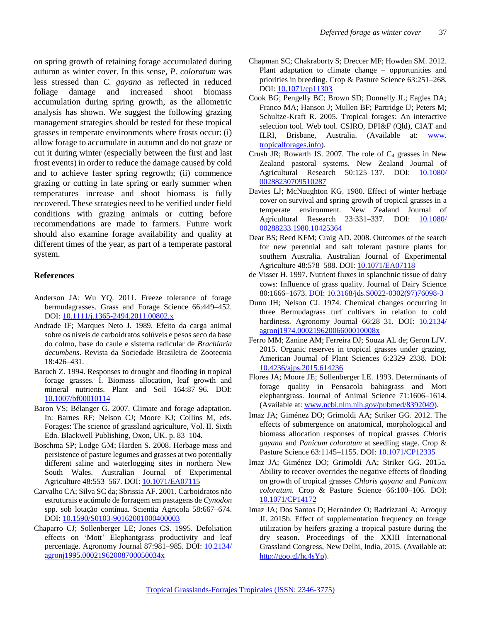on spring growth of retaining forage accumulated during autumn as winter cover. In this sense, *P. coloratum* was less stressed than *C. gayana* as reflected in reduced foliage damage and increased shoot biomass accumulation during spring growth, as the allometric analysis has shown. We suggest the following grazing management strategies should be tested for these tropical grasses in temperate environments where frosts occur: (i) allow forage to accumulate in autumn and do not graze or cut it during winter (especially between the first and last frost events) in order to reduce the damage caused by cold and to achieve faster spring regrowth; (ii) commence grazing or cutting in late spring or early summer when temperatures increase and shoot biomass is fully recovered. These strategies need to be verified under field conditions with grazing animals or cutting before recommendations are made to farmers. Future work should also examine forage availability and quality at different times of the year, as part of a temperate pastoral system.

#### **References**

- Anderson JA; Wu YQ. 2011. Freeze tolerance of forage bermudagrasses. Grass and Forage Science 66:449–452. DOI: [10.1111/j.1365-2494.2011.00802.x](http://dx.doi.org/10.1111/j.1365-2494.2011.00802.x)
- Andrade IF; Marques Neto J. 1989. Efeito da carga animal sobre os níveis de carboidratos solúveis e pesos seco da base do colmo, base do caule e sistema radicular de *Brachiaria decumbens*. Revista da Sociedade Brasileira de Zootecnia 18:426–431.
- Baruch Z. 1994. Responses to drought and flooding in tropical forage grasses. I. Biomass allocation, leaf growth and mineral nutrients. Plant and Soil 164:87–96. DOI: [10.1007/bf00010114](http://dx.doi.org/10.1007/bf00010114)
- Baron VS; Bélanger G. 2007. Climate and forage adaptation. In: Barnes RF; Nelson CJ; Moore KJ; Collins M, eds. Forages: The science of grassland agriculture, Vol. II. Sixth Edn. Blackwell Publishing, Oxon, UK. p. 83–104.
- Boschma SP; Lodge GM; Harden S. 2008. Herbage mass and persistence of pasture legumes and grasses at two potentially different saline and waterlogging sites in northern New South Wales. Australian Journal of Experimental Agriculture 48:553–567. DOI: [10.1071/EA07115](http://dx.doi.org/10.1071/EA07115)
- Carvalho CA; Silva SC da; Sbrissia AF. 2001. Carboidratos não estruturais e acúmulo de forragem em pastagens de *Cynodon* spp. sob lotação contínua. Scientia Agricola 58:667–674. DOI: [10.1590/S0103-90162001000400003](http://dx.doi.org/10.1590/S0103-90162001000400003)
- Chaparro CJ; Sollenberger LE; Jones CS. 1995. Defoliation effects on 'Mott' Elephantgrass productivity and leaf percentage. Agronomy Journal 87:981–985. DOI: [10.2134/](http://dx.doi.org/10.2134/agronj1995.00021962008700050034x) [agronj1995.00021962008700050034x](http://dx.doi.org/10.2134/agronj1995.00021962008700050034x)
- Chapman SC; Chakraborty S; Dreccer MF; Howden SM. 2012. Plant adaptation to climate change – opportunities and priorities in breeding. Crop & Pasture Science 63:251–268. DOI: [10.1071/cp11303](http://dx.doi.org/10.1071/cp11303)
- Cook BG; Pengelly BC; Brown SD; Donnelly JL; Eagles DA; Franco MA; Hanson J; Mullen BF; Partridge IJ; Peters M; Schultze-Kraft R. 2005. Tropical forages: An interactive selection tool. Web tool. CSIRO, DPI&F (Qld), CIAT and ILRI, Brisbane, Australia. (Available at: [www.](http://www.tropicalforages.info/) [tropicalforages.info\)](http://www.tropicalforages.info/).
- Crush JR; Rowarth JS. 2007. The role of  $C_4$  grasses in New Zealand pastoral systems. New Zealand Journal of Agricultural Research 50:125-137. DOI: [10.1080/](http://dx.doi.org/10.1080/00288230709510287) [00288230709510287](http://dx.doi.org/10.1080/00288230709510287)
- Davies LJ; McNaughton KG. 1980. Effect of winter herbage cover on survival and spring growth of tropical grasses in a temperate environment. New Zealand Journal of Agricultural Research 23:331-337. DOI: [10.1080/](http://dx.doi.org/10.1080/00288233.1980.10425364) [00288233.1980.10425364](http://dx.doi.org/10.1080/00288233.1980.10425364)
- Dear BS; Reed KFM; Craig AD. 2008. Outcomes of the search for new perennial and salt tolerant pasture plants for southern Australia. Australian Journal of Experimental Agriculture 48:578–588. DOI: [10.1071/EA07118](http://dx.doi.org/10.1071/EA07118)
- de Visser H. 1997. Nutrient fluxes in splanchnic tissue of dairy cows: Influence of grass quality. Journal of Dairy Science 80:1666–1673. [DOI: 10.3168/jds.S0022-0302\(97\)76098-3](http://dx.doi.org/10.3168/jds.S0022-0302(97)76098-3)
- Dunn JH; Nelson CJ. 1974. Chemical changes occurring in three Bermudagrass turf cultivars in relation to cold hardiness. Agronomy Journal 66:28–31. DOI: [10.2134/](http://dx.doi.org/10.2134/agronj1974.00021962006600010008x) [agronj1974.00021962006600010008x](http://dx.doi.org/10.2134/agronj1974.00021962006600010008x)
- Ferro MM; Zanine AM; Ferreira DJ; Souza AL de; Geron LJV. 2015. Organic reserves in tropical grasses under grazing. American Journal of Plant Sciences 6:2329-2338. DOI: [10.4236/ajps.2015.614236](http://dx.doi.org/10.4236/ajps.2015.614236)
- Flores JA; Moore JE; Sollenberger LE. 1993. Determinants of forage quality in Pensacola bahiagrass and Mott elephantgrass. Journal of Animal Science 71:1606–1614. (Available at[: www.ncbi.nlm.nih.gov/pubmed/8392049\)](http://www.ncbi.nlm.nih.gov/pubmed/8392049).
- Imaz JA; Giménez DO; Grimoldi AA; Striker GG. 2012. The effects of submergence on anatomical, morphological and biomass allocation responses of tropical grasses *Chloris gayana* and *Panicum coloratum* at seedling stage. Crop & Pasture Science 63:1145–1155. DOI: [10.1071/CP12335](http://dx.doi.org/10.1071/CP12335)
- Imaz JA; Giménez DO; Grimoldi AA; Striker GG. 2015a. Ability to recover overrides the negative effects of flooding on growth of tropical grasses *Chloris gayana* and *Panicum coloratum*. Crop & Pasture Science 66:100–106. DOI: [10.1071/CP14172](http://dx.doi.org/10.1071/CP14172)
- Imaz JA; Dos Santos D; Hernández O; Radrizzani A; Arroquy JI. 2015b. Effect of supplementation frequency on forage utilization by heifers grazing a tropical pasture during the dry season. Proceedings of the XXIII International Grassland Congress, New Delhi, India, 2015. (Available at: [http://goo.gl/hc4sYp\)](http://goo.gl/hc4sYp).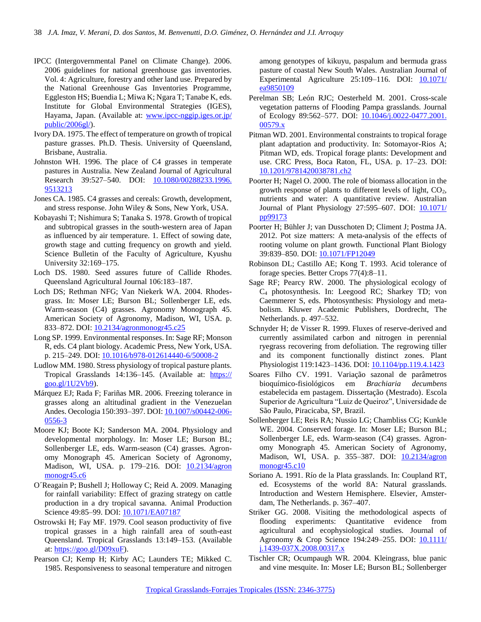- IPCC (Intergovernmental Panel on Climate Change). 2006. 2006 guidelines for national greenhouse gas inventories. Vol. 4: Agriculture, forestry and other land use. Prepared by the National Greenhouse Gas Inventories Programme, Eggleston HS; Buendia L; Miwa K; Ngara T; Tanabe K, eds. Institute for Global Environmental Strategies (IGES), Hayama, Japan. (Available at: [www.ipcc-nggip.iges.or.jp/](http://www.ipcc-nggip.iges.or.jp/public/2006gl/) [public/2006gl/\)](http://www.ipcc-nggip.iges.or.jp/public/2006gl/).
- Ivory DA. 1975. The effect of temperature on growth of tropical pasture grasses. Ph.D. Thesis. University of Queensland, Brisbane, Australia.
- Johnston WH. 1996. The place of C4 grasses in temperate pastures in Australia. New Zealand Journal of Agricultural Research 39:527-540. DOI: [10.1080/00288233.1996.](http://dx.doi.org/10.1080/00288233.1996.9513213) [9513213](http://dx.doi.org/10.1080/00288233.1996.9513213)
- Jones CA. 1985. C4 grasses and cereals: Growth, development, and stress response. John Wiley & Sons, New York, USA.
- Kobayashi T; Nishimura S; Tanaka S. 1978. Growth of tropical and subtropical grasses in the south-western area of Japan as influenced by air temperature. 1. Effect of sowing date, growth stage and cutting frequency on growth and yield. Science Bulletin of the Faculty of Agriculture, Kyushu University 32:169–175.
- Loch DS. 1980. Seed assures future of Callide Rhodes. Queensland Agricultural Journal 106:183-187.
- Loch DS; Rethman NFG; Van Niekerk WA. 2004. Rhodesgrass. In: Moser LE; Burson BL; Sollenberger LE, eds. Warm-season (C4) grasses. Agronomy Monograph 45. American Society of Agronomy, Madison, WI, USA. p. 833–872. DOI: [10.2134/agronmonogr45.c25](http://dx.doi.org/10.2134/agronmonogr45.c25)
- Long SP. 1999. Environmental responses. In: Sage RF; Monson R, eds. C4 plant biology. Academic Press, New York, USA. p. 215–249. DOI: [10.1016/b978-012614440-6/50008-2](http://dx.doi.org/10.1016/b978-012614440-6/50008-2)
- Ludlow MM. 1980. Stress physiology of tropical pasture plants. Tropical Grasslands 14:136-145. (Available at: [https://](https://goo.gl/1U2Vb9) [goo.gl/1U2Vb9\)](https://goo.gl/1U2Vb9).
- Márquez EJ; Rada F; Fariñas MR. 2006. Freezing tolerance in grasses along an altitudinal gradient in the Venezuelan Andes. Oecologia 150:393-397. DOI: [10.1007/s00442-006-](http://dx.doi.org/10.1007/s00442-006-0556-3) [0556-3](http://dx.doi.org/10.1007/s00442-006-0556-3)
- Moore KJ; Boote KJ; Sanderson MA. 2004. Physiology and developmental morphology. In: Moser LE; Burson BL; Sollenberger LE, eds. Warm-season (C4) grasses. Agronomy Monograph 45. American Society of Agronomy, Madison, WI, USA. p. 179-216. DOI: [10.2134/agron](http://dx.doi.org/10.2134/agronmonogr45.c6) [monogr45.c6](http://dx.doi.org/10.2134/agronmonogr45.c6)
- O´Reagain P; Bushell J; Holloway C; Reid A. 2009. Managing for rainfall variability: Effect of grazing strategy on cattle production in a dry tropical savanna. Animal Production Science 49:85-99. DOI: [10.1071/EA07187](http://dx.doi.org/10.1071/EA07187)
- Ostrowski H; Fay MF. 1979. Cool season productivity of five tropical grasses in a high rainfall area of south-east Queensland. Tropical Grasslands 13:149–153. (Available at: [https://goo.gl/D09xuF\)](https://goo.gl/D09xuF).
- Pearson CJ; Kemp H; Kirby AC; Launders TE; Mikked C. 1985. Responsiveness to seasonal temperature and nitrogen

among genotypes of kikuyu, paspalum and bermuda grass pasture of coastal New South Wales. Australian Journal of Experimental Agriculture  $25:109-116$ . DOI:  $10.1071/$ [ea9850109](http://dx.doi.org/10.1071/ea9850109)

- Perelman SB; León RJC; Oesterheld M. 2001. Cross-scale vegetation patterns of Flooding Pampa grasslands. Journal of Ecology 89:562–577. DOI: [10.1046/j.0022-0477.2001.](http://dx.doi.org/10.1046/j.0022-0477.2001.00579.x) [00579.x](http://dx.doi.org/10.1046/j.0022-0477.2001.00579.x)
- Pitman WD. 2001. Environmental constraints to tropical forage plant adaptation and productivity. In: Sotomayor-Rios A; Pitman WD, eds. Tropical forage plants: Development and use. CRC Press, Boca Raton, FL, USA. p. 17-23. DOI: [10.1201/9781420038781.ch2](http://dx.doi.org/10.1201/9781420038781.ch2)
- Poorter H; Nagel O. 2000. The role of biomass allocation in the growth response of plants to different levels of light, CO2, nutrients and water: A quantitative review. Australian Journal of Plant Physiology 27:595-607. DOI: [10.1071/](http://dx.doi.org/10.1071/pp99173) [pp99173](http://dx.doi.org/10.1071/pp99173)
- Poorter H; Bühler J; van Dusschoten D; Climent J; Postma JA. 2012. Pot size matters: A meta-analysis of the effects of rooting volume on plant growth. Functional Plant Biology 39:839–850. DOI: [10.1071/FP12049](http://dx.doi.org/10.1071/FP12049)
- Robinson DL; Castillo AE; Kong T. 1993. Acid tolerance of forage species. Better Crops 77(4):8–11.
- Sage RF; Pearcy RW. 2000. The physiological ecology of C<sup>4</sup> photosynthesis. In: Leegood RC; Sharkey TD; von Caemmerer S, eds. Photosynthesis: Physiology and metabolism. Kluwer Academic Publishers, Dordrecht, The Netherlands. p. 497–532.
- Schnyder H; de Visser R. 1999. Fluxes of reserve-derived and currently assimilated carbon and nitrogen in perennial ryegrass recovering from defoliation. The regrowing tiller and its component functionally distinct zones. Plant Physiologist 119:1423–1436. DOI: [10.1104/pp.119.4.1423](http://dx.doi.org/10.1104/pp.119.4.1423)
- Soares Filho CV. 1991. Variação sazonal de parâmetros bioquímico-fisiológicos em *Brachiaria decumbens* estabelecida em pastagem. Dissertação (Mestrado). Escola Superior de Agricultura "Luiz de Queiroz", Universidade de São Paulo, Piracicaba, SP, Brazil.
- Sollenberger LE; Reis RA; Nussio LG; Chambliss CG; Kunkle WE. 2004. Conserved forage. In: Moser LE; Burson BL; Sollenberger LE, eds. Warm-season (C4) grasses. Agronomy Monograph 45. American Society of Agronomy, Madison, WI, USA. p. 355–387. DOI: [10.2134/agron](http://dx.doi.org/10.2134/agronmonogr45.c10) [monogr45.c10](http://dx.doi.org/10.2134/agronmonogr45.c10)
- Soriano A. 1991. Río de la Plata grasslands. In: Coupland RT, ed. Ecosystems of the world 8A: Natural grasslands. Introduction and Western Hemisphere. Elsevier, Amsterdam, The Netherlands. p. 367–407.
- Striker GG. 2008. Visiting the methodological aspects of flooding experiments: Quantitative evidence from agricultural and ecophysiological studies. Journal of Agronomy & Crop Science 194:249-255. DOI: [10.1111/](http://dx.doi.org/10.1111/j.1439-037X.2008.00317.x) [j.1439-037X.2008.00317.x](http://dx.doi.org/10.1111/j.1439-037X.2008.00317.x)
- Tischler CR; Ocumpaugh WR. 2004. Kleingrass, blue panic and vine mesquite. In: Moser LE; Burson BL; Sollenberger